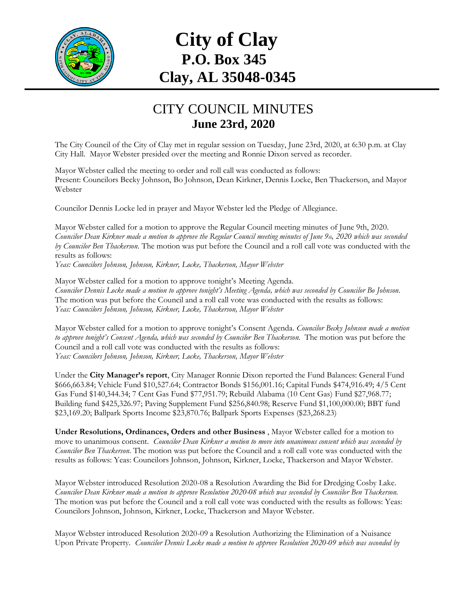

## **City of Clay P.O. Box 345 Clay, AL 35048-0345**

## CITY COUNCIL MINUTES **June 23rd, 2020**

The City Council of the City of Clay met in regular session on Tuesday, June 23rd, 2020, at 6:30 p.m. at Clay City Hall. Mayor Webster presided over the meeting and Ronnie Dixon served as recorder.

Mayor Webster called the meeting to order and roll call was conducted as follows: Present: Councilors Becky Johnson, Bo Johnson, Dean Kirkner, Dennis Locke, Ben Thackerson, and Mayor Webster

Councilor Dennis Locke led in prayer and Mayor Webster led the Pledge of Allegiance.

Mayor Webster called for a motion to approve the Regular Council meeting minutes of June 9th, 2020. *Councilor Dean Kirkner made a motion to approve the Regular Council meeting minutes of June 9th, 2020 which was seconded by Councilor Ben Thackerson.* The motion was put before the Council and a roll call vote was conducted with the results as follows:

*Yeas: Councilors Johnson, Johnson, Kirkner, Locke, Thackerson, Mayor Webster* 

Mayor Webster called for a motion to approve tonight's Meeting Agenda. *Councilor Dennis Locke made a motion to approve tonight's Meeting Agenda, which was seconded by Councilor Bo Johnson.*  The motion was put before the Council and a roll call vote was conducted with the results as follows: *Yeas: Councilors Johnson, Johnson, Kirkner, Locke, Thackerson, Mayor Webster*

Mayor Webster called for a motion to approve tonight's Consent Agenda. *Councilor Becky Johnson made a motion to approve tonight's Consent Agenda, which was seconded by Councilor Ben Thackerson.* The motion was put before the Council and a roll call vote was conducted with the results as follows: *Yeas: Councilors Johnson, Johnson, Kirkner, Locke, Thackerson, Mayor Webster*

Under the **City Manager's report**, City Manager Ronnie Dixon reported the Fund Balances: General Fund \$666,663.84; Vehicle Fund \$10,527.64; Contractor Bonds \$156,001.16; Capital Funds \$474,916.49; 4/5 Cent Gas Fund \$140,344.34; 7 Cent Gas Fund \$77,951.79; Rebuild Alabama (10 Cent Gas) Fund \$27,968.77; Building fund \$425,326.97; Paving Supplement Fund \$256,840.98; Reserve Fund \$1,100,000.00; BBT fund \$23,169.20; Ballpark Sports Income \$23,870.76; Ballpark Sports Expenses (\$23,268.23)

**Under Resolutions, Ordinances, Orders and other Business** , Mayor Webster called for a motion to move to unanimous consent. *Councilor Dean Kirkner a motion to move into unanimous consent which was seconded by Councilor Ben Thackerson*. The motion was put before the Council and a roll call vote was conducted with the results as follows: Yeas: Councilors Johnson, Johnson, Kirkner, Locke, Thackerson and Mayor Webster.

Mayor Webster introduced Resolution 2020-08 a Resolution Awarding the Bid for Dredging Cosby Lake. *Councilor Dean Kirkner made a motion to approve Resolution 2020-08 which was seconded by Councilor Ben Thackerson.*  The motion was put before the Council and a roll call vote was conducted with the results as follows: Yeas: Councilors Johnson, Johnson, Kirkner, Locke, Thackerson and Mayor Webster.

Mayor Webster introduced Resolution 2020-09 a Resolution Authorizing the Elimination of a Nuisance Upon Private Property. *Councilor Dennis Locke made a motion to approve Resolution 2020-09 which was seconded by*